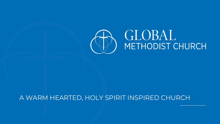

#### A WARM HEARTED, HOLY SPIRIT INSPIRED CHURCH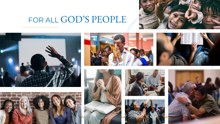

### FOR ALL GOD'S PEOPLE















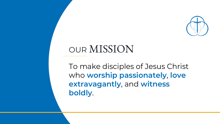

### OUR MISSION

To make disciples of Jesus Christ who worship passionately, love extravagantly, and witness boldly.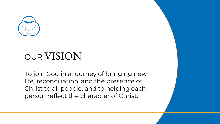

## OUR VISION

To join God in a journey of bringing new life, reconciliation, and the presence of Christ to all people, and to helping each person reflect the character of Christ.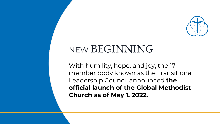

## NEW BEGINNING

With humility, hope, and joy, the 17 member body known as the Transitional Leadership Council announced **the official launch of the Global Methodist Church as of May 1, 2022.**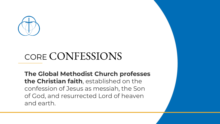

# CORE CONFESSIONS

**The Global Methodist Church professes the Christian faith**, established on the confession of Jesus as messiah, the Son of God, and resurrected Lord of heaven and earth.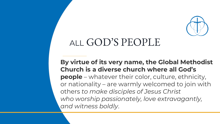

### ALL GOD'S PEOPLE

**By virtue of its very name, the Global Methodist Church is a diverse church where all God's people** – whatever their color, culture, ethnicity, or nationality – are warmly welcomed to join with others *to make disciples of Jesus Christ who worship passionately, love extravagantly, and witness boldly*.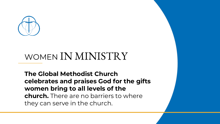

# WOMEN IN MINISTRY

**The Global Methodist Church celebrates and praises God for the gifts women bring to all levels of the church.** There are no barriers to where they can serve in the church.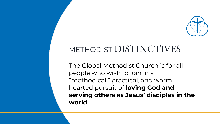

### METHODIST DISTINCTIVES

The Global Methodist Church is for all people who wish to join in a "methodical," practical, and warmhearted pursuit of **loving God and serving others as Jesus' disciples in the world**.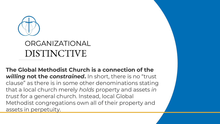

### ORGANIZATIONAL DISTINCTIVE

**The Global Methodist Church is a connection of the**  *willing* **not the** *constrained***.** In short, there is no "trust clause" as there is in some other denominations stating that a local church merely *holds* property and assets *in trust* for a general church. Instead, local Global Methodist congregations own all of their property and assets in perpetuity.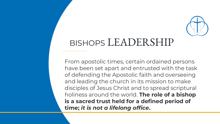

### BISHOPS LEADERSHIP

From apostolic times, certain ordained persons have been set apart and entrusted with the task of defending the Apostolic faith and overseeing and leading the church in its mission to make disciples of Jesus Christ and to spread scriptural holiness around the world. **The role of a bishop is a sacred trust held for a defined period of time;** *it is not a lifelong office***.**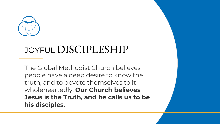

### JOYFUL DISCIPLESHIP

The Global Methodist Church believes people have a deep desire to know the truth, and to devote themselves to it wholeheartedly. **Our Church believes Jesus is the Truth, and he calls us to be his disciples.**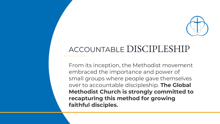

#### ACCOUNTABLE DISCIPLESHIP

From its inception, the Methodist movement embraced the importance and power of small groups where people gave themselves over to accountable discipleship. **The Global Methodist Church is strongly committed to recapturing this method for growing faithful disciples.**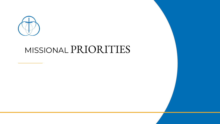

### MISSIONAL PRIORITIES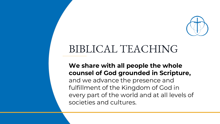

### BIBLICAL TEACHING

#### **We share with all people the whole counsel of God grounded in Scripture,**  and we advance the presence and fulfillment of the Kingdom of God in every part of the world and at all levels of societies and cultures.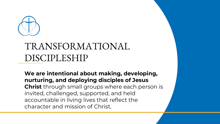

## TRANSFORMATIONAL DISCIPLESHIP

**We are intentional about making, developing, nurturing, and deploying disciples of Jesus Christ** through small groups where each person is invited, challenged, supported, and held accountable in living lives that reflect the character and mission of Christ.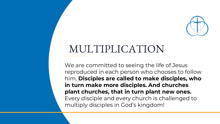

## MULTIPLICATION

We are committed to seeing the life of Jesus reproduced in each person who chooses to follow him. **Disciples are called to make disciples, who in turn make more disciples. And churches plant churches, that in turn plant new ones.** Every disciple and every church is challenged to multiply disciples in God's kingdom!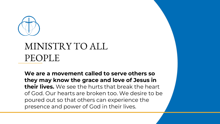

### MINISTRY TO ALL PEOPLE

**We are a movement called to serve others so they may know the grace and love of Jesus in their lives.** We see the hurts that break the heart of God. Our hearts are broken too. We desire to be poured out so that others can experience the presence and power of God in their lives.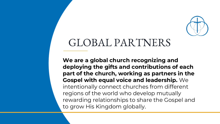

### GLOBAL PARTNERS

**We are a global church recognizing and deploying the gifts and contributions of each part of the church, working as partners in the Gospel with equal voice and leadership.** We intentionally connect churches from different regions of the world who develop mutually rewarding relationships to share the Gospel and to grow His Kingdom globally.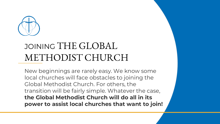

### JOINING THE GLOBAL METHODIST CHURCH

New beginnings are rarely easy. We know some local churches will face obstacles to joining the Global Methodist Church. For others, the transition will be fairly simple. Whatever the case, **the Global Methodist Church will do all in its power to assist local churches that want to join!**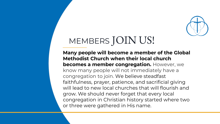

# MEMBERS JOIN US!

**Many people will become a member of the Global Methodist Church when their local church becomes a member congregation.** However, we know many people will not immediately have a congregation to join. We believe steadfast faithfulness, prayer, patience, and sacrificial giving will lead to new local churches that will flourish and grow. We should never forget that every local congregation in Christian history started where two or three were gathered in His name.